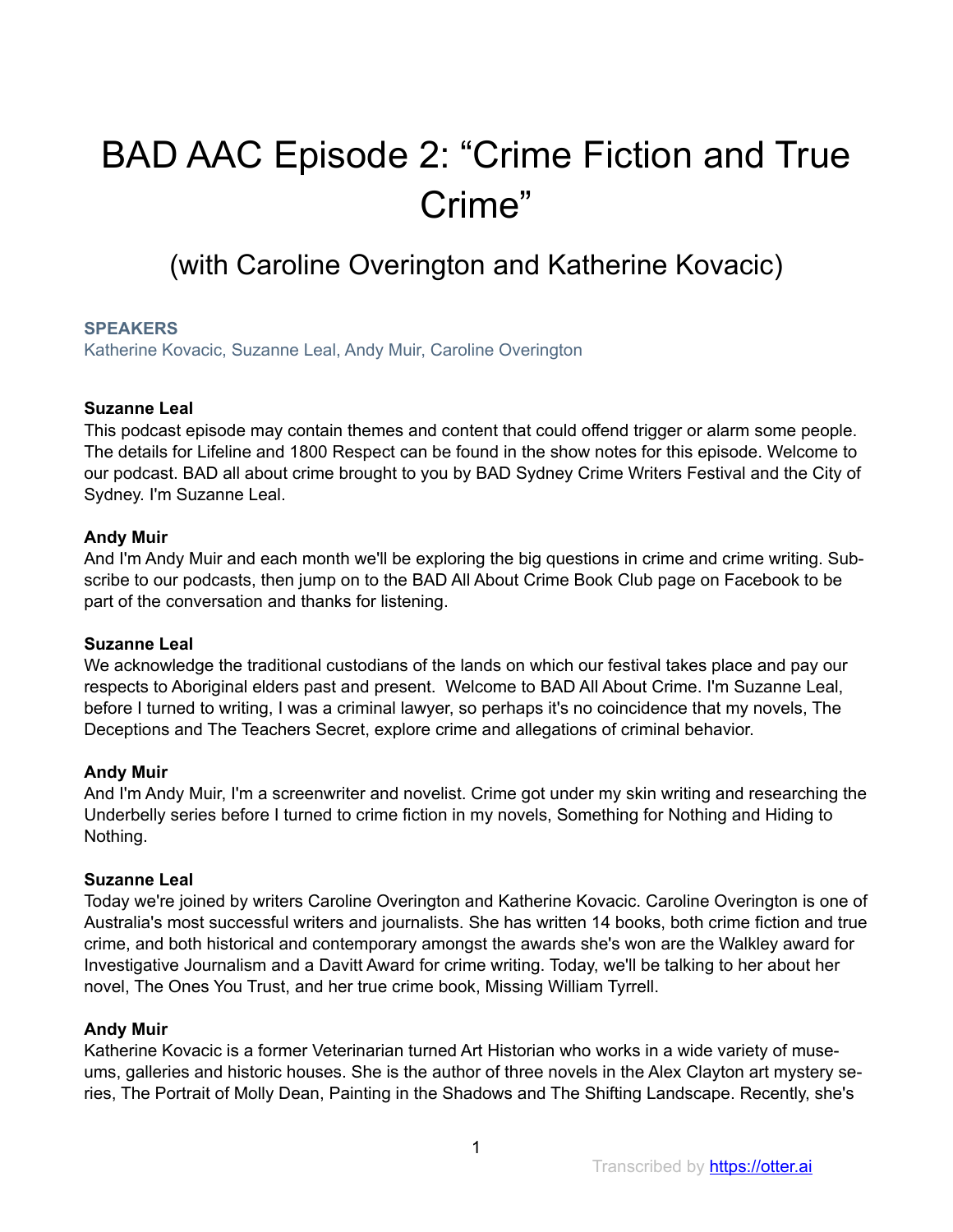# BAD AAC Episode 2: "Crime Fiction and True Crime"

# (with Caroline Overington and Katherine Kovacic)

# **SPEAKERS**

Katherine Kovacic, Suzanne Leal, Andy Muir, Caroline Overington

# **Suzanne Leal**

This podcast episode may contain themes and content that could offend trigger or alarm some people. The details for Lifeline and 1800 Respect can be found in the show notes for this episode. Welcome to our podcast. BAD all about crime brought to you by BAD Sydney Crime Writers Festival and the City of Sydney. I'm Suzanne Leal.

# **Andy Muir**

And I'm Andy Muir and each month we'll be exploring the big questions in crime and crime writing. Subscribe to our podcasts, then jump on to the BAD All About Crime Book Club page on Facebook to be part of the conversation and thanks for listening.

# **Suzanne Leal**

We acknowledge the traditional custodians of the lands on which our festival takes place and pay our respects to Aboriginal elders past and present. Welcome to BAD All About Crime. I'm Suzanne Leal, before I turned to writing, I was a criminal lawyer, so perhaps it's no coincidence that my novels, The Deceptions and The Teachers Secret, explore crime and allegations of criminal behavior.

# **Andy Muir**

And I'm Andy Muir, I'm a screenwriter and novelist. Crime got under my skin writing and researching the Underbelly series before I turned to crime fiction in my novels, Something for Nothing and Hiding to Nothing.

#### **Suzanne Leal**

Today we're joined by writers Caroline Overington and Katherine Kovacic. Caroline Overington is one of Australia's most successful writers and journalists. She has written 14 books, both crime fiction and true crime, and both historical and contemporary amongst the awards she's won are the Walkley award for Investigative Journalism and a Davitt Award for crime writing. Today, we'll be talking to her about her novel, The Ones You Trust, and her true crime book, Missing William Tyrrell.

# **Andy Muir**

Katherine Kovacic is a former Veterinarian turned Art Historian who works in a wide variety of museums, galleries and historic houses. She is the author of three novels in the Alex Clayton art mystery series, The Portrait of Molly Dean, Painting in the Shadows and The Shifting Landscape. Recently, she's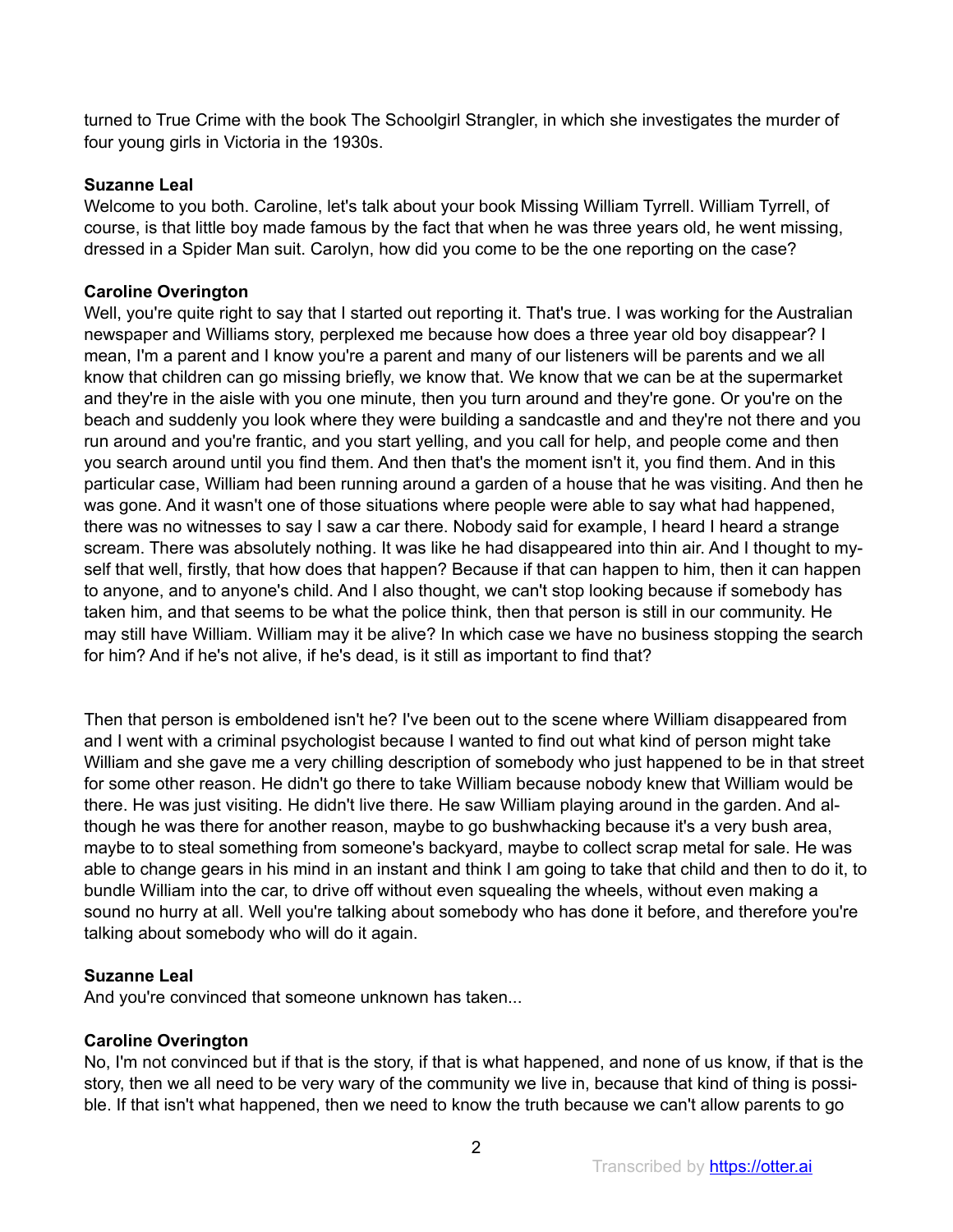turned to True Crime with the book The Schoolgirl Strangler, in which she investigates the murder of four young girls in Victoria in the 1930s.

# **Suzanne Leal**

Welcome to you both. Caroline, let's talk about your book Missing William Tyrrell. William Tyrrell, of course, is that little boy made famous by the fact that when he was three years old, he went missing, dressed in a Spider Man suit. Carolyn, how did you come to be the one reporting on the case?

# **Caroline Overington**

Well, you're quite right to say that I started out reporting it. That's true. I was working for the Australian newspaper and Williams story, perplexed me because how does a three year old boy disappear? I mean, I'm a parent and I know you're a parent and many of our listeners will be parents and we all know that children can go missing briefly, we know that. We know that we can be at the supermarket and they're in the aisle with you one minute, then you turn around and they're gone. Or you're on the beach and suddenly you look where they were building a sandcastle and and they're not there and you run around and you're frantic, and you start yelling, and you call for help, and people come and then you search around until you find them. And then that's the moment isn't it, you find them. And in this particular case, William had been running around a garden of a house that he was visiting. And then he was gone. And it wasn't one of those situations where people were able to say what had happened, there was no witnesses to say I saw a car there. Nobody said for example, I heard I heard a strange scream. There was absolutely nothing. It was like he had disappeared into thin air. And I thought to myself that well, firstly, that how does that happen? Because if that can happen to him, then it can happen to anyone, and to anyone's child. And I also thought, we can't stop looking because if somebody has taken him, and that seems to be what the police think, then that person is still in our community. He may still have William. William may it be alive? In which case we have no business stopping the search for him? And if he's not alive, if he's dead, is it still as important to find that?

Then that person is emboldened isn't he? I've been out to the scene where William disappeared from and I went with a criminal psychologist because I wanted to find out what kind of person might take William and she gave me a very chilling description of somebody who just happened to be in that street for some other reason. He didn't go there to take William because nobody knew that William would be there. He was just visiting. He didn't live there. He saw William playing around in the garden. And although he was there for another reason, maybe to go bushwhacking because it's a very bush area, maybe to to steal something from someone's backyard, maybe to collect scrap metal for sale. He was able to change gears in his mind in an instant and think I am going to take that child and then to do it, to bundle William into the car, to drive off without even squealing the wheels, without even making a sound no hurry at all. Well you're talking about somebody who has done it before, and therefore you're talking about somebody who will do it again.

# **Suzanne Leal**

And you're convinced that someone unknown has taken...

# **Caroline Overington**

No, I'm not convinced but if that is the story, if that is what happened, and none of us know, if that is the story, then we all need to be very wary of the community we live in, because that kind of thing is possible. If that isn't what happened, then we need to know the truth because we can't allow parents to go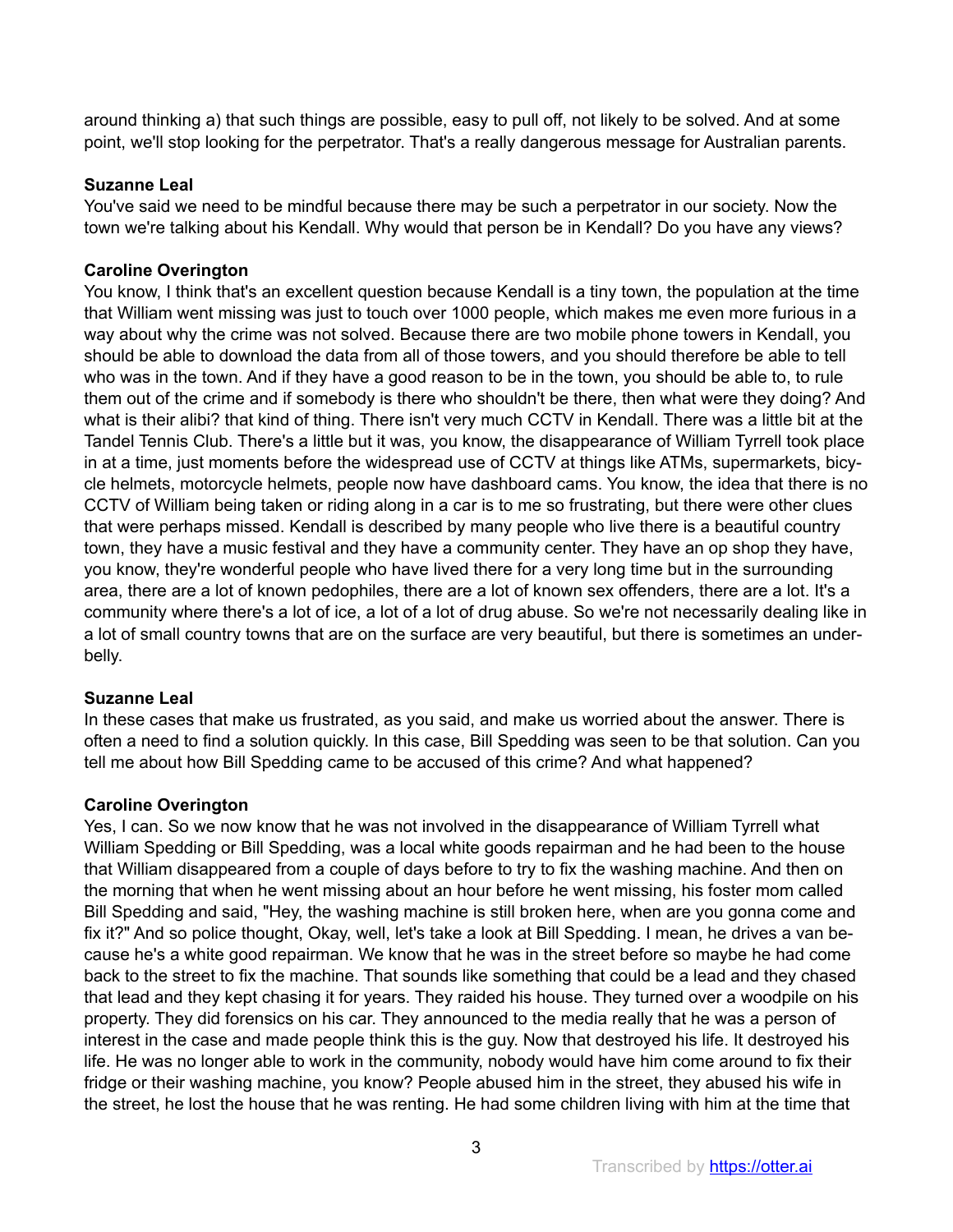around thinking a) that such things are possible, easy to pull off, not likely to be solved. And at some point, we'll stop looking for the perpetrator. That's a really dangerous message for Australian parents.

# **Suzanne Leal**

You've said we need to be mindful because there may be such a perpetrator in our society. Now the town we're talking about his Kendall. Why would that person be in Kendall? Do you have any views?

# **Caroline Overington**

You know, I think that's an excellent question because Kendall is a tiny town, the population at the time that William went missing was just to touch over 1000 people, which makes me even more furious in a way about why the crime was not solved. Because there are two mobile phone towers in Kendall, you should be able to download the data from all of those towers, and you should therefore be able to tell who was in the town. And if they have a good reason to be in the town, you should be able to, to rule them out of the crime and if somebody is there who shouldn't be there, then what were they doing? And what is their alibi? that kind of thing. There isn't very much CCTV in Kendall. There was a little bit at the Tandel Tennis Club. There's a little but it was, you know, the disappearance of William Tyrrell took place in at a time, just moments before the widespread use of CCTV at things like ATMs, supermarkets, bicycle helmets, motorcycle helmets, people now have dashboard cams. You know, the idea that there is no CCTV of William being taken or riding along in a car is to me so frustrating, but there were other clues that were perhaps missed. Kendall is described by many people who live there is a beautiful country town, they have a music festival and they have a community center. They have an op shop they have, you know, they're wonderful people who have lived there for a very long time but in the surrounding area, there are a lot of known pedophiles, there are a lot of known sex offenders, there are a lot. It's a community where there's a lot of ice, a lot of a lot of drug abuse. So we're not necessarily dealing like in a lot of small country towns that are on the surface are very beautiful, but there is sometimes an underbelly.

# **Suzanne Leal**

In these cases that make us frustrated, as you said, and make us worried about the answer. There is often a need to find a solution quickly. In this case, Bill Spedding was seen to be that solution. Can you tell me about how Bill Spedding came to be accused of this crime? And what happened?

# **Caroline Overington**

Yes, I can. So we now know that he was not involved in the disappearance of William Tyrrell what William Spedding or Bill Spedding, was a local white goods repairman and he had been to the house that William disappeared from a couple of days before to try to fix the washing machine. And then on the morning that when he went missing about an hour before he went missing, his foster mom called Bill Spedding and said, "Hey, the washing machine is still broken here, when are you gonna come and fix it?" And so police thought, Okay, well, let's take a look at Bill Spedding. I mean, he drives a van because he's a white good repairman. We know that he was in the street before so maybe he had come back to the street to fix the machine. That sounds like something that could be a lead and they chased that lead and they kept chasing it for years. They raided his house. They turned over a woodpile on his property. They did forensics on his car. They announced to the media really that he was a person of interest in the case and made people think this is the guy. Now that destroyed his life. It destroyed his life. He was no longer able to work in the community, nobody would have him come around to fix their fridge or their washing machine, you know? People abused him in the street, they abused his wife in the street, he lost the house that he was renting. He had some children living with him at the time that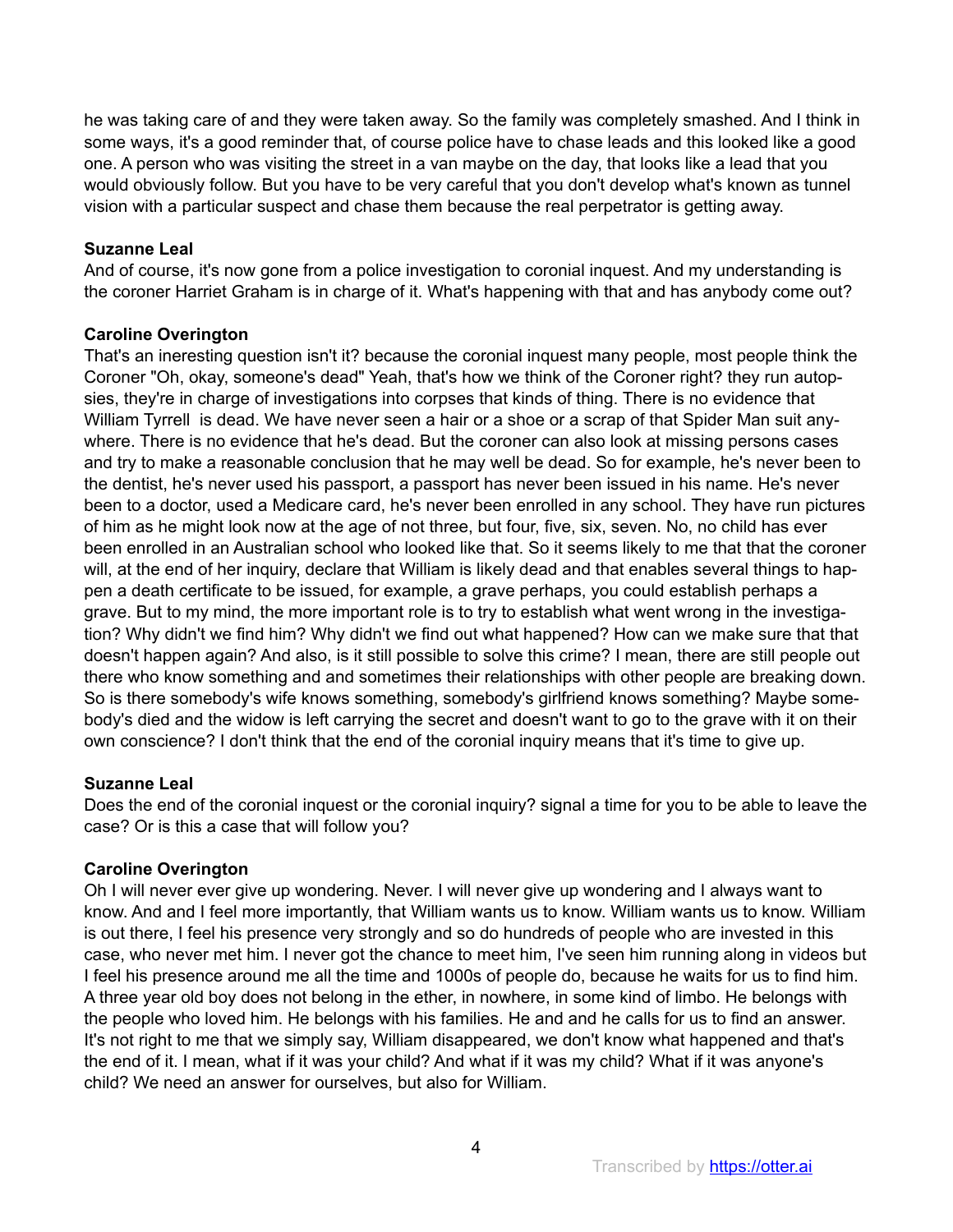he was taking care of and they were taken away. So the family was completely smashed. And I think in some ways, it's a good reminder that, of course police have to chase leads and this looked like a good one. A person who was visiting the street in a van maybe on the day, that looks like a lead that you would obviously follow. But you have to be very careful that you don't develop what's known as tunnel vision with a particular suspect and chase them because the real perpetrator is getting away.

# **Suzanne Leal**

And of course, it's now gone from a police investigation to coronial inquest. And my understanding is the coroner Harriet Graham is in charge of it. What's happening with that and has anybody come out?

# **Caroline Overington**

That's an ineresting question isn't it? because the coronial inquest many people, most people think the Coroner "Oh, okay, someone's dead" Yeah, that's how we think of the Coroner right? they run autopsies, they're in charge of investigations into corpses that kinds of thing. There is no evidence that William Tyrrell is dead. We have never seen a hair or a shoe or a scrap of that Spider Man suit anywhere. There is no evidence that he's dead. But the coroner can also look at missing persons cases and try to make a reasonable conclusion that he may well be dead. So for example, he's never been to the dentist, he's never used his passport, a passport has never been issued in his name. He's never been to a doctor, used a Medicare card, he's never been enrolled in any school. They have run pictures of him as he might look now at the age of not three, but four, five, six, seven. No, no child has ever been enrolled in an Australian school who looked like that. So it seems likely to me that that the coroner will, at the end of her inquiry, declare that William is likely dead and that enables several things to happen a death certificate to be issued, for example, a grave perhaps, you could establish perhaps a grave. But to my mind, the more important role is to try to establish what went wrong in the investigation? Why didn't we find him? Why didn't we find out what happened? How can we make sure that that doesn't happen again? And also, is it still possible to solve this crime? I mean, there are still people out there who know something and and sometimes their relationships with other people are breaking down. So is there somebody's wife knows something, somebody's girlfriend knows something? Maybe somebody's died and the widow is left carrying the secret and doesn't want to go to the grave with it on their own conscience? I don't think that the end of the coronial inquiry means that it's time to give up.

# **Suzanne Leal**

Does the end of the coronial inquest or the coronial inquiry? signal a time for you to be able to leave the case? Or is this a case that will follow you?

# **Caroline Overington**

Oh I will never ever give up wondering. Never. I will never give up wondering and I always want to know. And and I feel more importantly, that William wants us to know. William wants us to know. William is out there, I feel his presence very strongly and so do hundreds of people who are invested in this case, who never met him. I never got the chance to meet him, I've seen him running along in videos but I feel his presence around me all the time and 1000s of people do, because he waits for us to find him. A three year old boy does not belong in the ether, in nowhere, in some kind of limbo. He belongs with the people who loved him. He belongs with his families. He and and he calls for us to find an answer. It's not right to me that we simply say, William disappeared, we don't know what happened and that's the end of it. I mean, what if it was your child? And what if it was my child? What if it was anyone's child? We need an answer for ourselves, but also for William.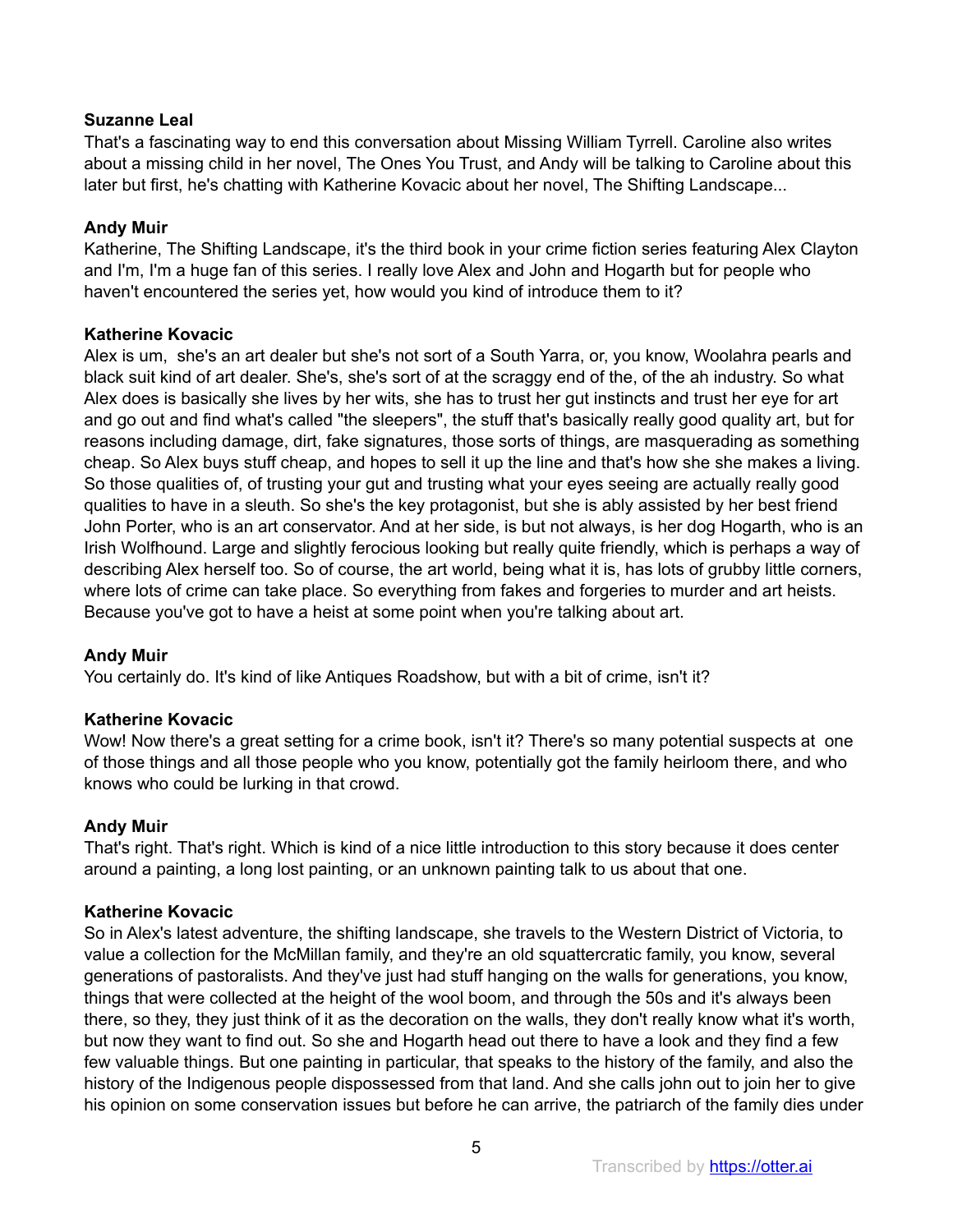That's a fascinating way to end this conversation about Missing William Tyrrell. Caroline also writes about a missing child in her novel, The Ones You Trust, and Andy will be talking to Caroline about this later but first, he's chatting with Katherine Kovacic about her novel, The Shifting Landscape...

# **Andy Muir**

Katherine, The Shifting Landscape, it's the third book in your crime fiction series featuring Alex Clayton and I'm, I'm a huge fan of this series. I really love Alex and John and Hogarth but for people who haven't encountered the series yet, how would you kind of introduce them to it?

# **Katherine Kovacic**

Alex is um, she's an art dealer but she's not sort of a South Yarra, or, you know, Woolahra pearls and black suit kind of art dealer. She's, she's sort of at the scraggy end of the, of the ah industry. So what Alex does is basically she lives by her wits, she has to trust her gut instincts and trust her eye for art and go out and find what's called "the sleepers", the stuff that's basically really good quality art, but for reasons including damage, dirt, fake signatures, those sorts of things, are masquerading as something cheap. So Alex buys stuff cheap, and hopes to sell it up the line and that's how she she makes a living. So those qualities of, of trusting your gut and trusting what your eyes seeing are actually really good qualities to have in a sleuth. So she's the key protagonist, but she is ably assisted by her best friend John Porter, who is an art conservator. And at her side, is but not always, is her dog Hogarth, who is an Irish Wolfhound. Large and slightly ferocious looking but really quite friendly, which is perhaps a way of describing Alex herself too. So of course, the art world, being what it is, has lots of grubby little corners, where lots of crime can take place. So everything from fakes and forgeries to murder and art heists. Because you've got to have a heist at some point when you're talking about art.

# **Andy Muir**

You certainly do. It's kind of like Antiques Roadshow, but with a bit of crime, isn't it?

# **Katherine Kovacic**

Wow! Now there's a great setting for a crime book, isn't it? There's so many potential suspects at one of those things and all those people who you know, potentially got the family heirloom there, and who knows who could be lurking in that crowd.

# **Andy Muir**

That's right. That's right. Which is kind of a nice little introduction to this story because it does center around a painting, a long lost painting, or an unknown painting talk to us about that one.

# **Katherine Kovacic**

So in Alex's latest adventure, the shifting landscape, she travels to the Western District of Victoria, to value a collection for the McMillan family, and they're an old squattercratic family, you know, several generations of pastoralists. And they've just had stuff hanging on the walls for generations, you know, things that were collected at the height of the wool boom, and through the 50s and it's always been there, so they, they just think of it as the decoration on the walls, they don't really know what it's worth, but now they want to find out. So she and Hogarth head out there to have a look and they find a few few valuable things. But one painting in particular, that speaks to the history of the family, and also the history of the Indigenous people dispossessed from that land. And she calls john out to join her to give his opinion on some conservation issues but before he can arrive, the patriarch of the family dies under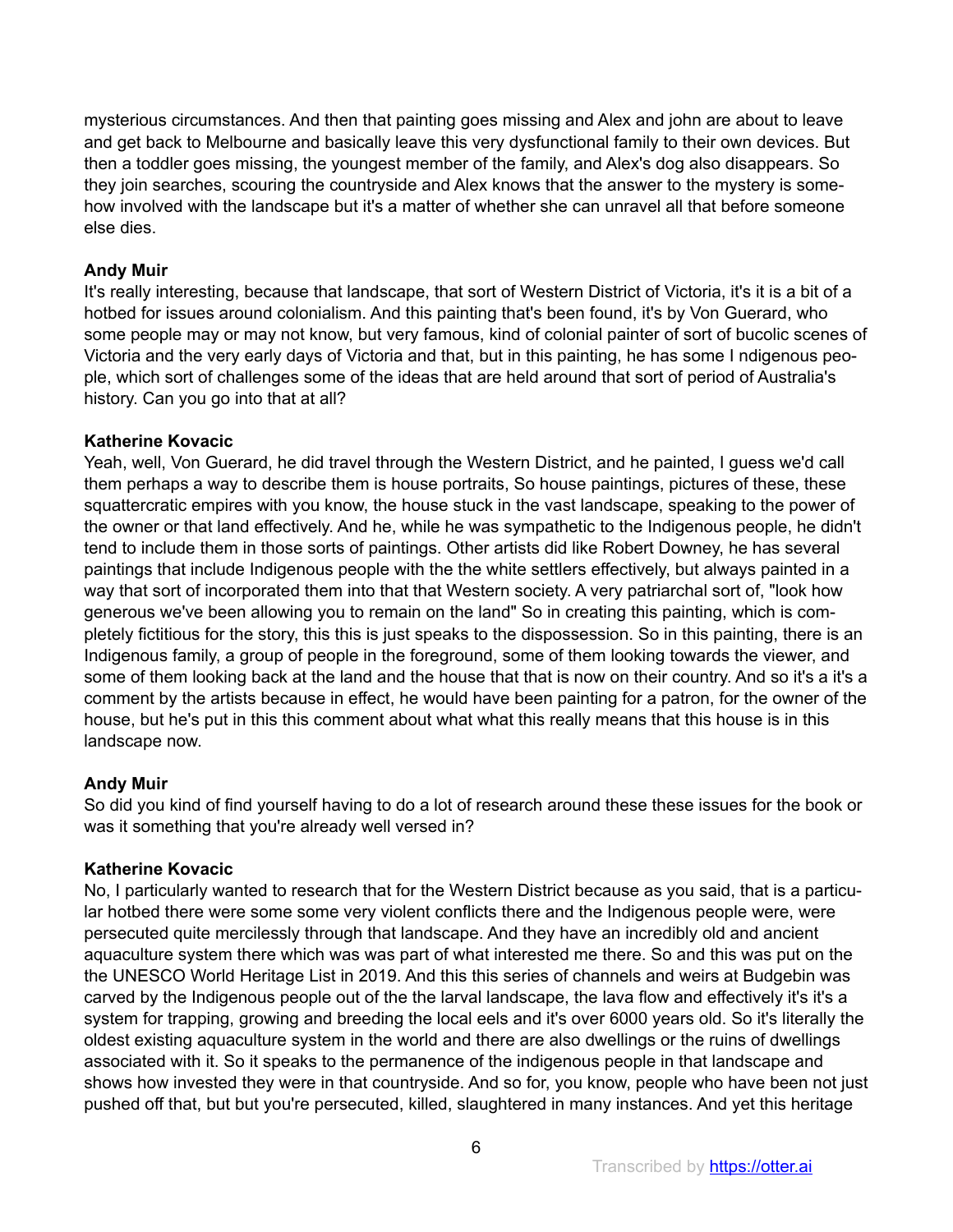mysterious circumstances. And then that painting goes missing and Alex and john are about to leave and get back to Melbourne and basically leave this very dysfunctional family to their own devices. But then a toddler goes missing, the youngest member of the family, and Alex's dog also disappears. So they join searches, scouring the countryside and Alex knows that the answer to the mystery is somehow involved with the landscape but it's a matter of whether she can unravel all that before someone else dies.

# **Andy Muir**

It's really interesting, because that landscape, that sort of Western District of Victoria, it's it is a bit of a hotbed for issues around colonialism. And this painting that's been found, it's by Von Guerard, who some people may or may not know, but very famous, kind of colonial painter of sort of bucolic scenes of Victoria and the very early days of Victoria and that, but in this painting, he has some I ndigenous people, which sort of challenges some of the ideas that are held around that sort of period of Australia's history. Can you go into that at all?

# **Katherine Kovacic**

Yeah, well, Von Guerard, he did travel through the Western District, and he painted, I guess we'd call them perhaps a way to describe them is house portraits, So house paintings, pictures of these, these squattercratic empires with you know, the house stuck in the vast landscape, speaking to the power of the owner or that land effectively. And he, while he was sympathetic to the Indigenous people, he didn't tend to include them in those sorts of paintings. Other artists did like Robert Downey, he has several paintings that include Indigenous people with the the white settlers effectively, but always painted in a way that sort of incorporated them into that that Western society. A very patriarchal sort of, "look how generous we've been allowing you to remain on the land" So in creating this painting, which is completely fictitious for the story, this this is just speaks to the dispossession. So in this painting, there is an Indigenous family, a group of people in the foreground, some of them looking towards the viewer, and some of them looking back at the land and the house that that is now on their country. And so it's a it's a comment by the artists because in effect, he would have been painting for a patron, for the owner of the house, but he's put in this this comment about what what this really means that this house is in this landscape now.

# **Andy Muir**

So did you kind of find yourself having to do a lot of research around these these issues for the book or was it something that you're already well versed in?

# **Katherine Kovacic**

No, I particularly wanted to research that for the Western District because as you said, that is a particular hotbed there were some some very violent conflicts there and the Indigenous people were, were persecuted quite mercilessly through that landscape. And they have an incredibly old and ancient aquaculture system there which was was part of what interested me there. So and this was put on the the UNESCO World Heritage List in 2019. And this this series of channels and weirs at Budgebin was carved by the Indigenous people out of the the larval landscape, the lava flow and effectively it's it's a system for trapping, growing and breeding the local eels and it's over 6000 years old. So it's literally the oldest existing aquaculture system in the world and there are also dwellings or the ruins of dwellings associated with it. So it speaks to the permanence of the indigenous people in that landscape and shows how invested they were in that countryside. And so for, you know, people who have been not just pushed off that, but but you're persecuted, killed, slaughtered in many instances. And yet this heritage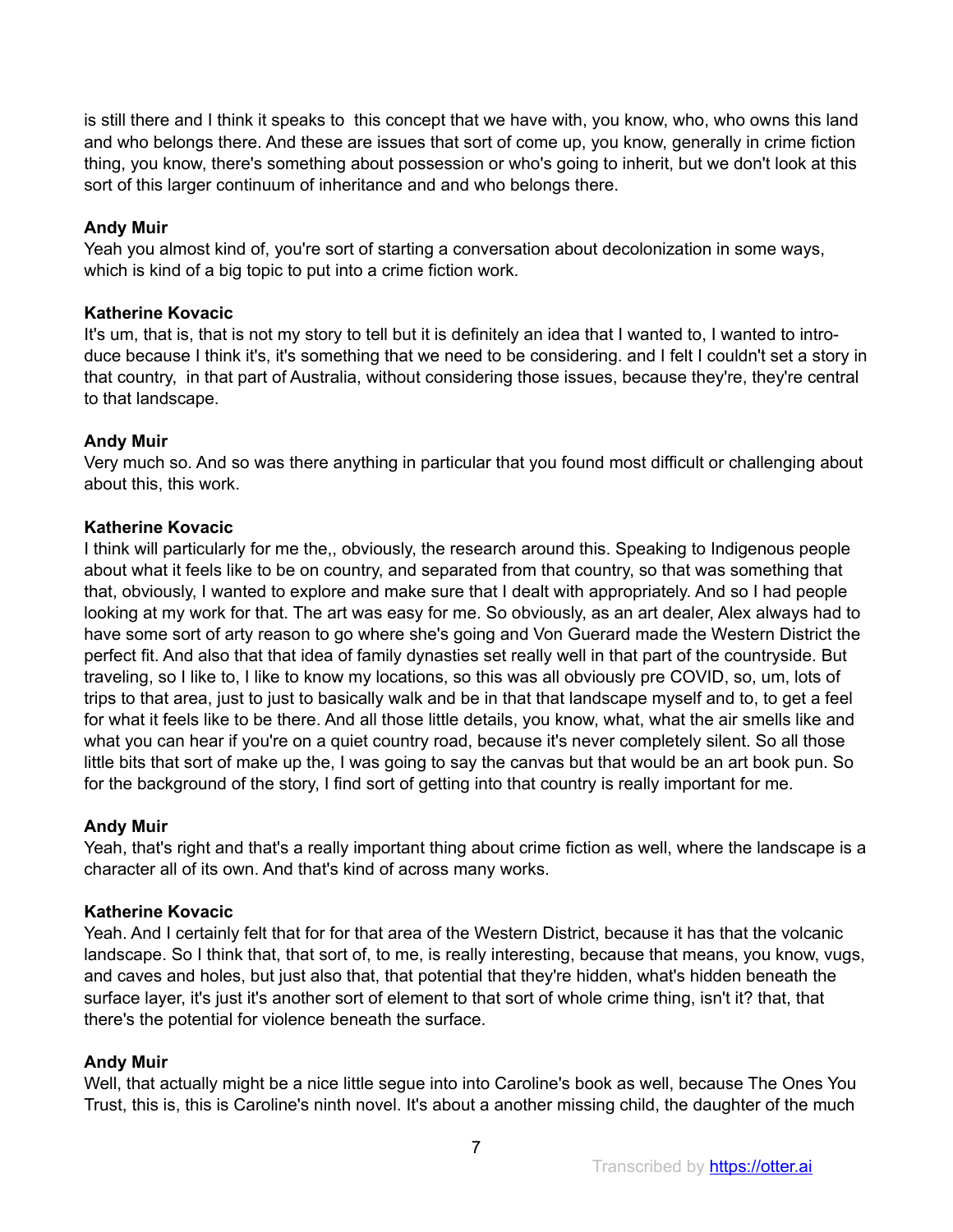is still there and I think it speaks to this concept that we have with, you know, who, who owns this land and who belongs there. And these are issues that sort of come up, you know, generally in crime fiction thing, you know, there's something about possession or who's going to inherit, but we don't look at this sort of this larger continuum of inheritance and and who belongs there.

# **Andy Muir**

Yeah you almost kind of, you're sort of starting a conversation about decolonization in some ways, which is kind of a big topic to put into a crime fiction work.

# **Katherine Kovacic**

It's um, that is, that is not my story to tell but it is definitely an idea that I wanted to, I wanted to introduce because I think it's, it's something that we need to be considering. and I felt I couldn't set a story in that country, in that part of Australia, without considering those issues, because they're, they're central to that landscape.

# **Andy Muir**

Very much so. And so was there anything in particular that you found most difficult or challenging about about this, this work.

# **Katherine Kovacic**

I think will particularly for me the,, obviously, the research around this. Speaking to Indigenous people about what it feels like to be on country, and separated from that country, so that was something that that, obviously, I wanted to explore and make sure that I dealt with appropriately. And so I had people looking at my work for that. The art was easy for me. So obviously, as an art dealer, Alex always had to have some sort of arty reason to go where she's going and Von Guerard made the Western District the perfect fit. And also that that idea of family dynasties set really well in that part of the countryside. But traveling, so I like to, I like to know my locations, so this was all obviously pre COVID, so, um, lots of trips to that area, just to just to basically walk and be in that that landscape myself and to, to get a feel for what it feels like to be there. And all those little details, you know, what, what the air smells like and what you can hear if you're on a quiet country road, because it's never completely silent. So all those little bits that sort of make up the, I was going to say the canvas but that would be an art book pun. So for the background of the story, I find sort of getting into that country is really important for me.

# **Andy Muir**

Yeah, that's right and that's a really important thing about crime fiction as well, where the landscape is a character all of its own. And that's kind of across many works.

# **Katherine Kovacic**

Yeah. And I certainly felt that for for that area of the Western District, because it has that the volcanic landscape. So I think that, that sort of, to me, is really interesting, because that means, you know, vugs, and caves and holes, but just also that, that potential that they're hidden, what's hidden beneath the surface layer, it's just it's another sort of element to that sort of whole crime thing, isn't it? that, that there's the potential for violence beneath the surface.

# **Andy Muir**

Well, that actually might be a nice little segue into into Caroline's book as well, because The Ones You Trust, this is, this is Caroline's ninth novel. It's about a another missing child, the daughter of the much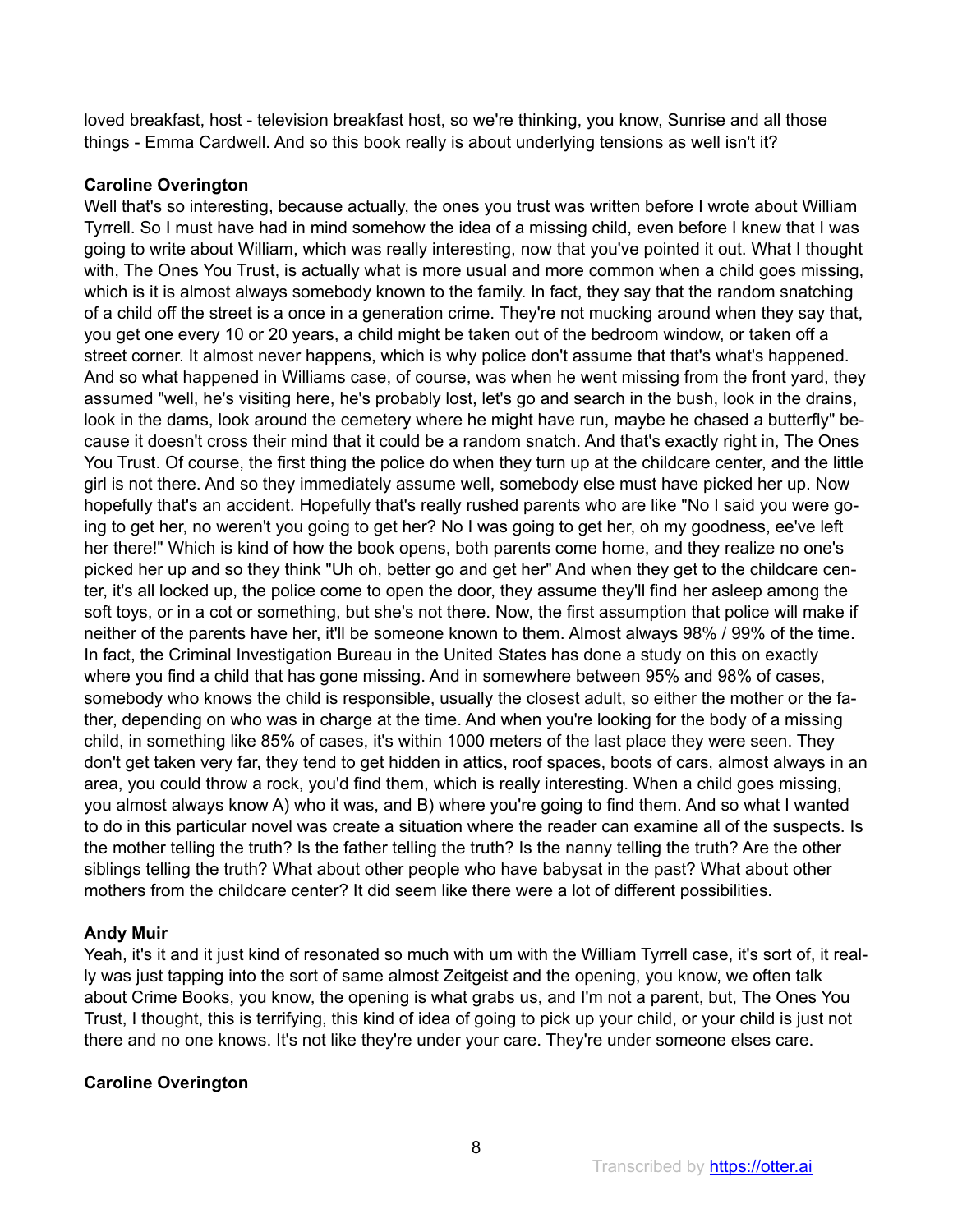loved breakfast, host - television breakfast host, so we're thinking, you know, Sunrise and all those things - Emma Cardwell. And so this book really is about underlying tensions as well isn't it?

# **Caroline Overington**

Well that's so interesting, because actually, the ones you trust was written before I wrote about William Tyrrell. So I must have had in mind somehow the idea of a missing child, even before I knew that I was going to write about William, which was really interesting, now that you've pointed it out. What I thought with, The Ones You Trust, is actually what is more usual and more common when a child goes missing, which is it is almost always somebody known to the family. In fact, they say that the random snatching of a child off the street is a once in a generation crime. They're not mucking around when they say that, you get one every 10 or 20 years, a child might be taken out of the bedroom window, or taken off a street corner. It almost never happens, which is why police don't assume that that's what's happened. And so what happened in Williams case, of course, was when he went missing from the front yard, they assumed "well, he's visiting here, he's probably lost, let's go and search in the bush, look in the drains, look in the dams, look around the cemetery where he might have run, maybe he chased a butterfly" because it doesn't cross their mind that it could be a random snatch. And that's exactly right in, The Ones You Trust. Of course, the first thing the police do when they turn up at the childcare center, and the little girl is not there. And so they immediately assume well, somebody else must have picked her up. Now hopefully that's an accident. Hopefully that's really rushed parents who are like "No I said you were going to get her, no weren't you going to get her? No I was going to get her, oh my goodness, ee've left her there!" Which is kind of how the book opens, both parents come home, and they realize no one's picked her up and so they think "Uh oh, better go and get her" And when they get to the childcare center, it's all locked up, the police come to open the door, they assume they'll find her asleep among the soft toys, or in a cot or something, but she's not there. Now, the first assumption that police will make if neither of the parents have her, it'll be someone known to them. Almost always 98% / 99% of the time. In fact, the Criminal Investigation Bureau in the United States has done a study on this on exactly where you find a child that has gone missing. And in somewhere between 95% and 98% of cases, somebody who knows the child is responsible, usually the closest adult, so either the mother or the father, depending on who was in charge at the time. And when you're looking for the body of a missing child, in something like 85% of cases, it's within 1000 meters of the last place they were seen. They don't get taken very far, they tend to get hidden in attics, roof spaces, boots of cars, almost always in an area, you could throw a rock, you'd find them, which is really interesting. When a child goes missing, you almost always know A) who it was, and B) where you're going to find them. And so what I wanted to do in this particular novel was create a situation where the reader can examine all of the suspects. Is the mother telling the truth? Is the father telling the truth? Is the nanny telling the truth? Are the other siblings telling the truth? What about other people who have babysat in the past? What about other mothers from the childcare center? It did seem like there were a lot of different possibilities.

# **Andy Muir**

Yeah, it's it and it just kind of resonated so much with um with the William Tyrrell case, it's sort of, it really was just tapping into the sort of same almost Zeitgeist and the opening, you know, we often talk about Crime Books, you know, the opening is what grabs us, and I'm not a parent, but, The Ones You Trust, I thought, this is terrifying, this kind of idea of going to pick up your child, or your child is just not there and no one knows. It's not like they're under your care. They're under someone elses care.

# **Caroline Overington**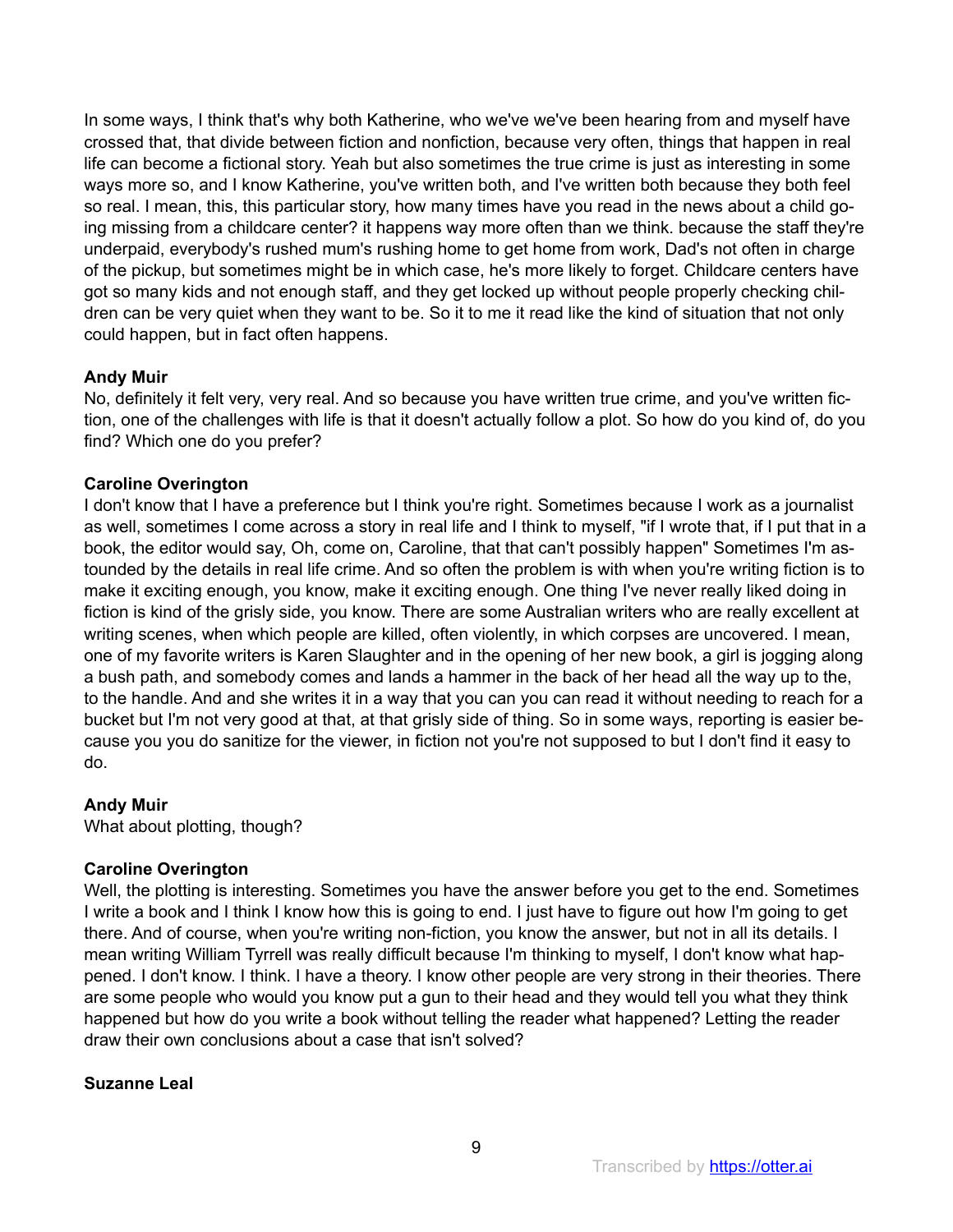In some ways, I think that's why both Katherine, who we've we've been hearing from and myself have crossed that, that divide between fiction and nonfiction, because very often, things that happen in real life can become a fictional story. Yeah but also sometimes the true crime is just as interesting in some ways more so, and I know Katherine, you've written both, and I've written both because they both feel so real. I mean, this, this particular story, how many times have you read in the news about a child going missing from a childcare center? it happens way more often than we think. because the staff they're underpaid, everybody's rushed mum's rushing home to get home from work, Dad's not often in charge of the pickup, but sometimes might be in which case, he's more likely to forget. Childcare centers have got so many kids and not enough staff, and they get locked up without people properly checking children can be very quiet when they want to be. So it to me it read like the kind of situation that not only could happen, but in fact often happens.

# **Andy Muir**

No, definitely it felt very, very real. And so because you have written true crime, and you've written fiction, one of the challenges with life is that it doesn't actually follow a plot. So how do you kind of, do you find? Which one do you prefer?

# **Caroline Overington**

I don't know that I have a preference but I think you're right. Sometimes because I work as a journalist as well, sometimes I come across a story in real life and I think to myself, "if I wrote that, if I put that in a book, the editor would say, Oh, come on, Caroline, that that can't possibly happen" Sometimes I'm astounded by the details in real life crime. And so often the problem is with when you're writing fiction is to make it exciting enough, you know, make it exciting enough. One thing I've never really liked doing in fiction is kind of the grisly side, you know. There are some Australian writers who are really excellent at writing scenes, when which people are killed, often violently, in which corpses are uncovered. I mean, one of my favorite writers is Karen Slaughter and in the opening of her new book, a girl is jogging along a bush path, and somebody comes and lands a hammer in the back of her head all the way up to the, to the handle. And and she writes it in a way that you can you can read it without needing to reach for a bucket but I'm not very good at that, at that grisly side of thing. So in some ways, reporting is easier because you you do sanitize for the viewer, in fiction not you're not supposed to but I don't find it easy to do.

# **Andy Muir**

What about plotting, though?

# **Caroline Overington**

Well, the plotting is interesting. Sometimes you have the answer before you get to the end. Sometimes I write a book and I think I know how this is going to end. I just have to figure out how I'm going to get there. And of course, when you're writing non-fiction, you know the answer, but not in all its details. I mean writing William Tyrrell was really difficult because I'm thinking to myself, I don't know what happened. I don't know. I think. I have a theory. I know other people are very strong in their theories. There are some people who would you know put a gun to their head and they would tell you what they think happened but how do you write a book without telling the reader what happened? Letting the reader draw their own conclusions about a case that isn't solved?

# **Suzanne Leal**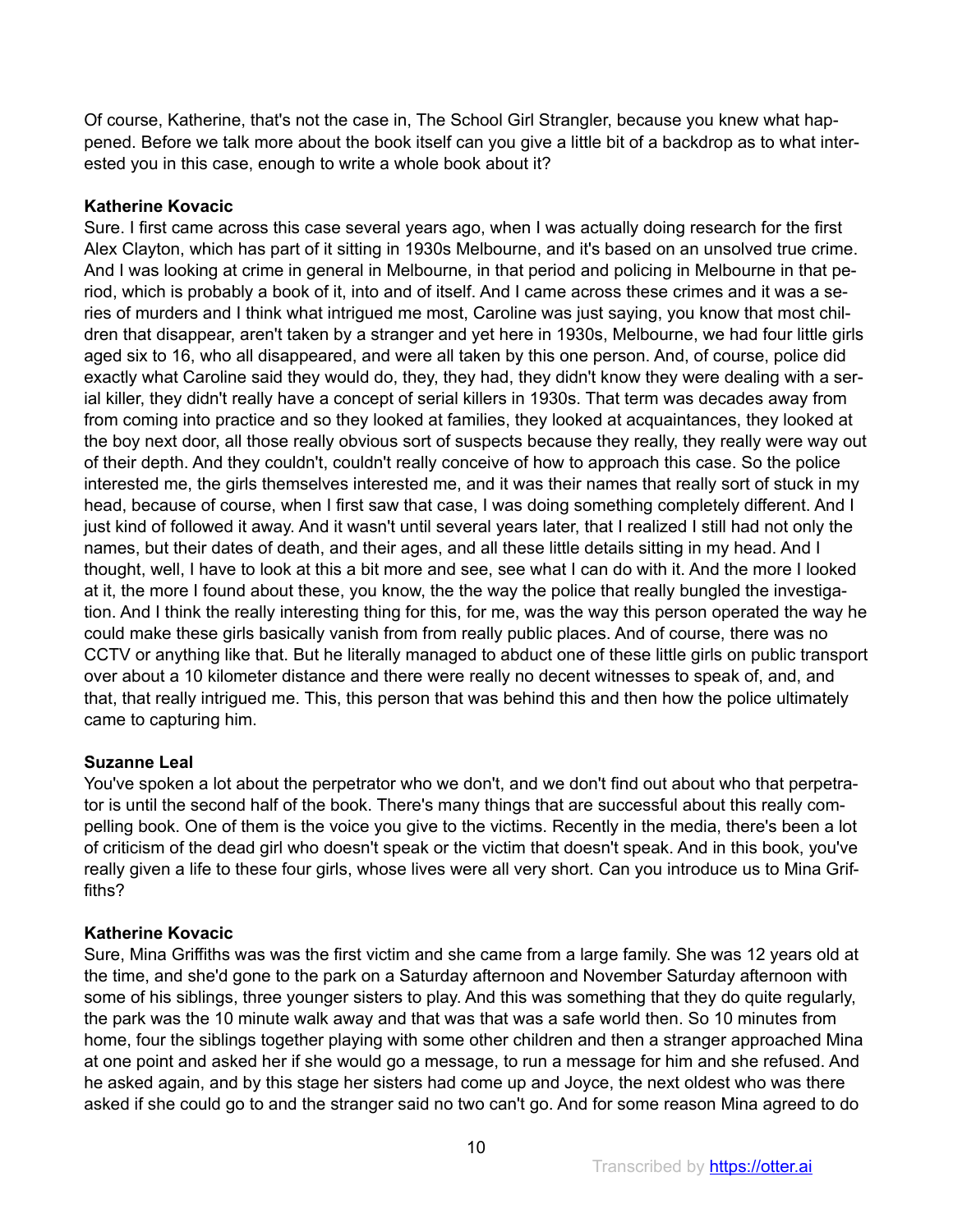Of course, Katherine, that's not the case in, The School Girl Strangler, because you knew what happened. Before we talk more about the book itself can you give a little bit of a backdrop as to what interested you in this case, enough to write a whole book about it?

# **Katherine Kovacic**

Sure. I first came across this case several years ago, when I was actually doing research for the first Alex Clayton, which has part of it sitting in 1930s Melbourne, and it's based on an unsolved true crime. And I was looking at crime in general in Melbourne, in that period and policing in Melbourne in that period, which is probably a book of it, into and of itself. And I came across these crimes and it was a series of murders and I think what intrigued me most, Caroline was just saying, you know that most children that disappear, aren't taken by a stranger and yet here in 1930s, Melbourne, we had four little girls aged six to 16, who all disappeared, and were all taken by this one person. And, of course, police did exactly what Caroline said they would do, they, they had, they didn't know they were dealing with a serial killer, they didn't really have a concept of serial killers in 1930s. That term was decades away from from coming into practice and so they looked at families, they looked at acquaintances, they looked at the boy next door, all those really obvious sort of suspects because they really, they really were way out of their depth. And they couldn't, couldn't really conceive of how to approach this case. So the police interested me, the girls themselves interested me, and it was their names that really sort of stuck in my head, because of course, when I first saw that case, I was doing something completely different. And I just kind of followed it away. And it wasn't until several years later, that I realized I still had not only the names, but their dates of death, and their ages, and all these little details sitting in my head. And I thought, well, I have to look at this a bit more and see, see what I can do with it. And the more I looked at it, the more I found about these, you know, the the way the police that really bungled the investigation. And I think the really interesting thing for this, for me, was the way this person operated the way he could make these girls basically vanish from from really public places. And of course, there was no CCTV or anything like that. But he literally managed to abduct one of these little girls on public transport over about a 10 kilometer distance and there were really no decent witnesses to speak of, and, and that, that really intrigued me. This, this person that was behind this and then how the police ultimately came to capturing him.

# **Suzanne Leal**

You've spoken a lot about the perpetrator who we don't, and we don't find out about who that perpetrator is until the second half of the book. There's many things that are successful about this really compelling book. One of them is the voice you give to the victims. Recently in the media, there's been a lot of criticism of the dead girl who doesn't speak or the victim that doesn't speak. And in this book, you've really given a life to these four girls, whose lives were all very short. Can you introduce us to Mina Griffiths?

# **Katherine Kovacic**

Sure, Mina Griffiths was was the first victim and she came from a large family. She was 12 years old at the time, and she'd gone to the park on a Saturday afternoon and November Saturday afternoon with some of his siblings, three younger sisters to play. And this was something that they do quite regularly, the park was the 10 minute walk away and that was that was a safe world then. So 10 minutes from home, four the siblings together playing with some other children and then a stranger approached Mina at one point and asked her if she would go a message, to run a message for him and she refused. And he asked again, and by this stage her sisters had come up and Joyce, the next oldest who was there asked if she could go to and the stranger said no two can't go. And for some reason Mina agreed to do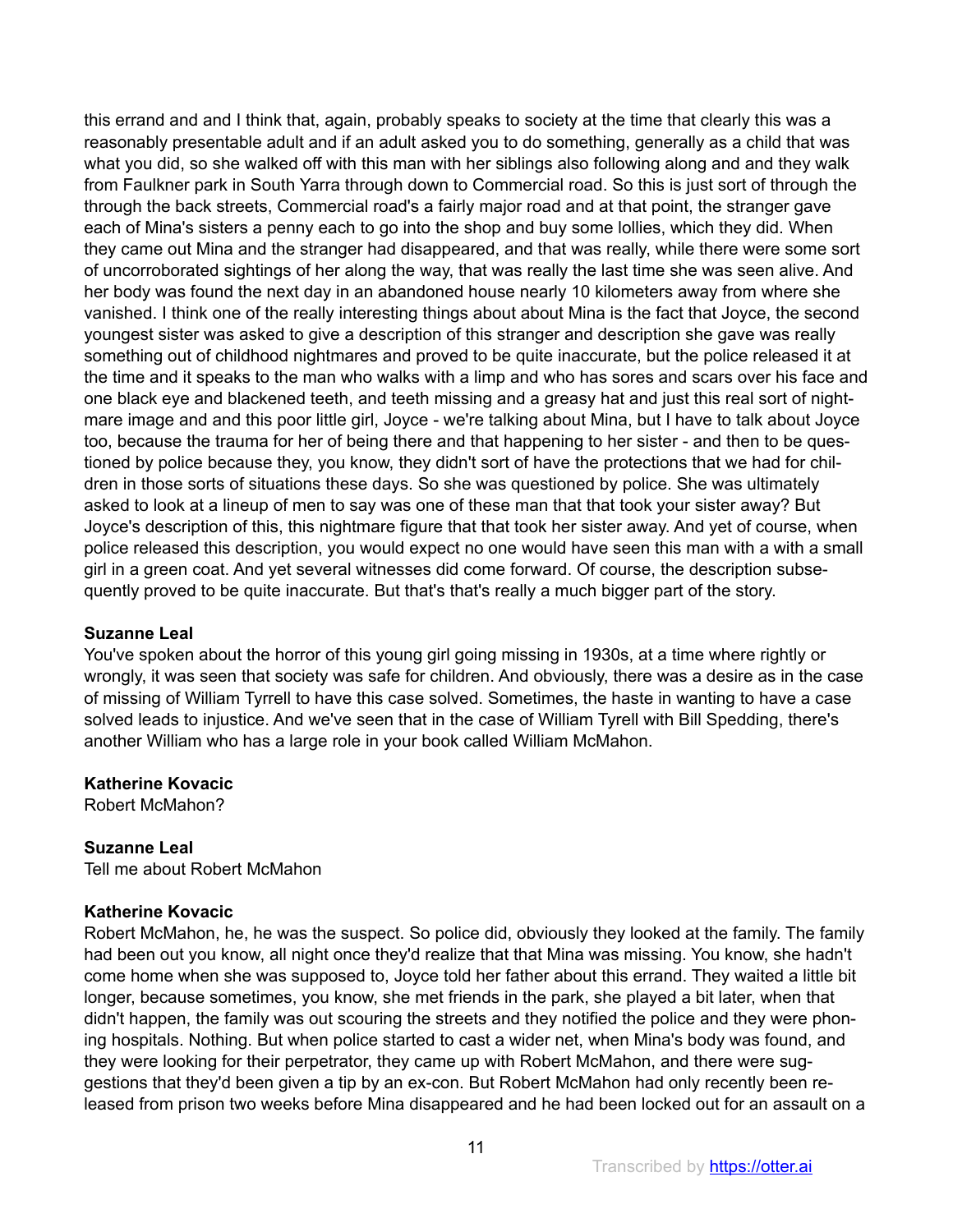this errand and and I think that, again, probably speaks to society at the time that clearly this was a reasonably presentable adult and if an adult asked you to do something, generally as a child that was what you did, so she walked off with this man with her siblings also following along and and they walk from Faulkner park in South Yarra through down to Commercial road. So this is just sort of through the through the back streets, Commercial road's a fairly major road and at that point, the stranger gave each of Mina's sisters a penny each to go into the shop and buy some lollies, which they did. When they came out Mina and the stranger had disappeared, and that was really, while there were some sort of uncorroborated sightings of her along the way, that was really the last time she was seen alive. And her body was found the next day in an abandoned house nearly 10 kilometers away from where she vanished. I think one of the really interesting things about about Mina is the fact that Joyce, the second youngest sister was asked to give a description of this stranger and description she gave was really something out of childhood nightmares and proved to be quite inaccurate, but the police released it at the time and it speaks to the man who walks with a limp and who has sores and scars over his face and one black eye and blackened teeth, and teeth missing and a greasy hat and just this real sort of nightmare image and and this poor little girl, Joyce - we're talking about Mina, but I have to talk about Joyce too, because the trauma for her of being there and that happening to her sister - and then to be questioned by police because they, you know, they didn't sort of have the protections that we had for children in those sorts of situations these days. So she was questioned by police. She was ultimately asked to look at a lineup of men to say was one of these man that that took your sister away? But Joyce's description of this, this nightmare figure that that took her sister away. And yet of course, when police released this description, you would expect no one would have seen this man with a with a small girl in a green coat. And yet several witnesses did come forward. Of course, the description subsequently proved to be quite inaccurate. But that's that's really a much bigger part of the story.

# **Suzanne Leal**

You've spoken about the horror of this young girl going missing in 1930s, at a time where rightly or wrongly, it was seen that society was safe for children. And obviously, there was a desire as in the case of missing of William Tyrrell to have this case solved. Sometimes, the haste in wanting to have a case solved leads to injustice. And we've seen that in the case of William Tyrell with Bill Spedding, there's another William who has a large role in your book called William McMahon.

# **Katherine Kovacic**

Robert McMahon?

# **Suzanne Leal**

Tell me about Robert McMahon

# **Katherine Kovacic**

Robert McMahon, he, he was the suspect. So police did, obviously they looked at the family. The family had been out you know, all night once they'd realize that that Mina was missing. You know, she hadn't come home when she was supposed to, Joyce told her father about this errand. They waited a little bit longer, because sometimes, you know, she met friends in the park, she played a bit later, when that didn't happen, the family was out scouring the streets and they notified the police and they were phoning hospitals. Nothing. But when police started to cast a wider net, when Mina's body was found, and they were looking for their perpetrator, they came up with Robert McMahon, and there were suggestions that they'd been given a tip by an ex-con. But Robert McMahon had only recently been released from prison two weeks before Mina disappeared and he had been locked out for an assault on a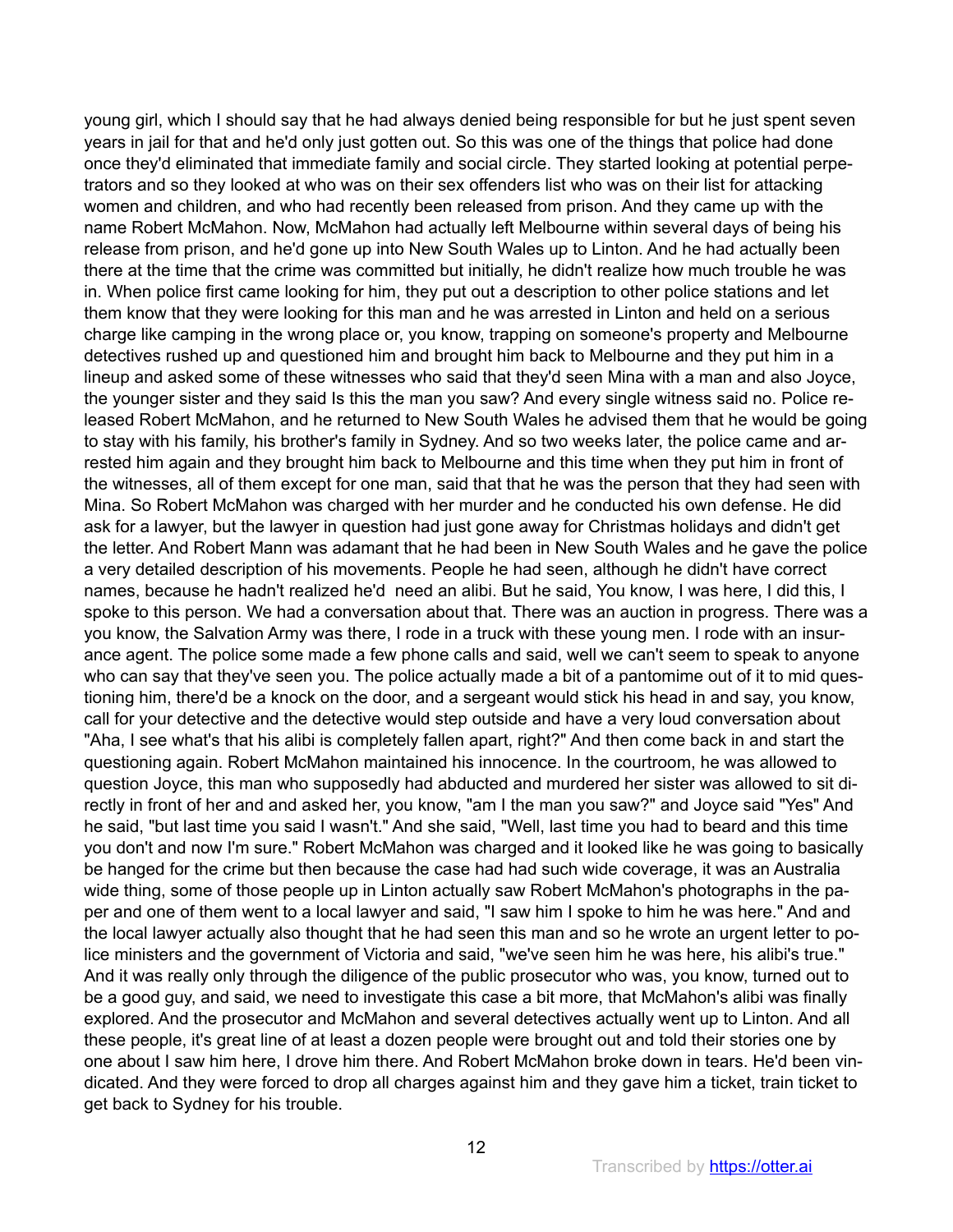young girl, which I should say that he had always denied being responsible for but he just spent seven years in jail for that and he'd only just gotten out. So this was one of the things that police had done once they'd eliminated that immediate family and social circle. They started looking at potential perpetrators and so they looked at who was on their sex offenders list who was on their list for attacking women and children, and who had recently been released from prison. And they came up with the name Robert McMahon. Now, McMahon had actually left Melbourne within several days of being his release from prison, and he'd gone up into New South Wales up to Linton. And he had actually been there at the time that the crime was committed but initially, he didn't realize how much trouble he was in. When police first came looking for him, they put out a description to other police stations and let them know that they were looking for this man and he was arrested in Linton and held on a serious charge like camping in the wrong place or, you know, trapping on someone's property and Melbourne detectives rushed up and questioned him and brought him back to Melbourne and they put him in a lineup and asked some of these witnesses who said that they'd seen Mina with a man and also Joyce, the younger sister and they said Is this the man you saw? And every single witness said no. Police released Robert McMahon, and he returned to New South Wales he advised them that he would be going to stay with his family, his brother's family in Sydney. And so two weeks later, the police came and arrested him again and they brought him back to Melbourne and this time when they put him in front of the witnesses, all of them except for one man, said that that he was the person that they had seen with Mina. So Robert McMahon was charged with her murder and he conducted his own defense. He did ask for a lawyer, but the lawyer in question had just gone away for Christmas holidays and didn't get the letter. And Robert Mann was adamant that he had been in New South Wales and he gave the police a very detailed description of his movements. People he had seen, although he didn't have correct names, because he hadn't realized he'd need an alibi. But he said, You know, I was here, I did this, I spoke to this person. We had a conversation about that. There was an auction in progress. There was a you know, the Salvation Army was there, I rode in a truck with these young men. I rode with an insurance agent. The police some made a few phone calls and said, well we can't seem to speak to anyone who can say that they've seen you. The police actually made a bit of a pantomime out of it to mid questioning him, there'd be a knock on the door, and a sergeant would stick his head in and say, you know, call for your detective and the detective would step outside and have a very loud conversation about "Aha, I see what's that his alibi is completely fallen apart, right?" And then come back in and start the questioning again. Robert McMahon maintained his innocence. In the courtroom, he was allowed to question Joyce, this man who supposedly had abducted and murdered her sister was allowed to sit directly in front of her and and asked her, you know, "am I the man you saw?" and Joyce said "Yes" And he said, "but last time you said I wasn't." And she said, "Well, last time you had to beard and this time you don't and now I'm sure." Robert McMahon was charged and it looked like he was going to basically be hanged for the crime but then because the case had had such wide coverage, it was an Australia wide thing, some of those people up in Linton actually saw Robert McMahon's photographs in the paper and one of them went to a local lawyer and said, "I saw him I spoke to him he was here." And and the local lawyer actually also thought that he had seen this man and so he wrote an urgent letter to police ministers and the government of Victoria and said, "we've seen him he was here, his alibi's true." And it was really only through the diligence of the public prosecutor who was, you know, turned out to be a good guy, and said, we need to investigate this case a bit more, that McMahon's alibi was finally explored. And the prosecutor and McMahon and several detectives actually went up to Linton. And all these people, it's great line of at least a dozen people were brought out and told their stories one by one about I saw him here, I drove him there. And Robert McMahon broke down in tears. He'd been vindicated. And they were forced to drop all charges against him and they gave him a ticket, train ticket to get back to Sydney for his trouble.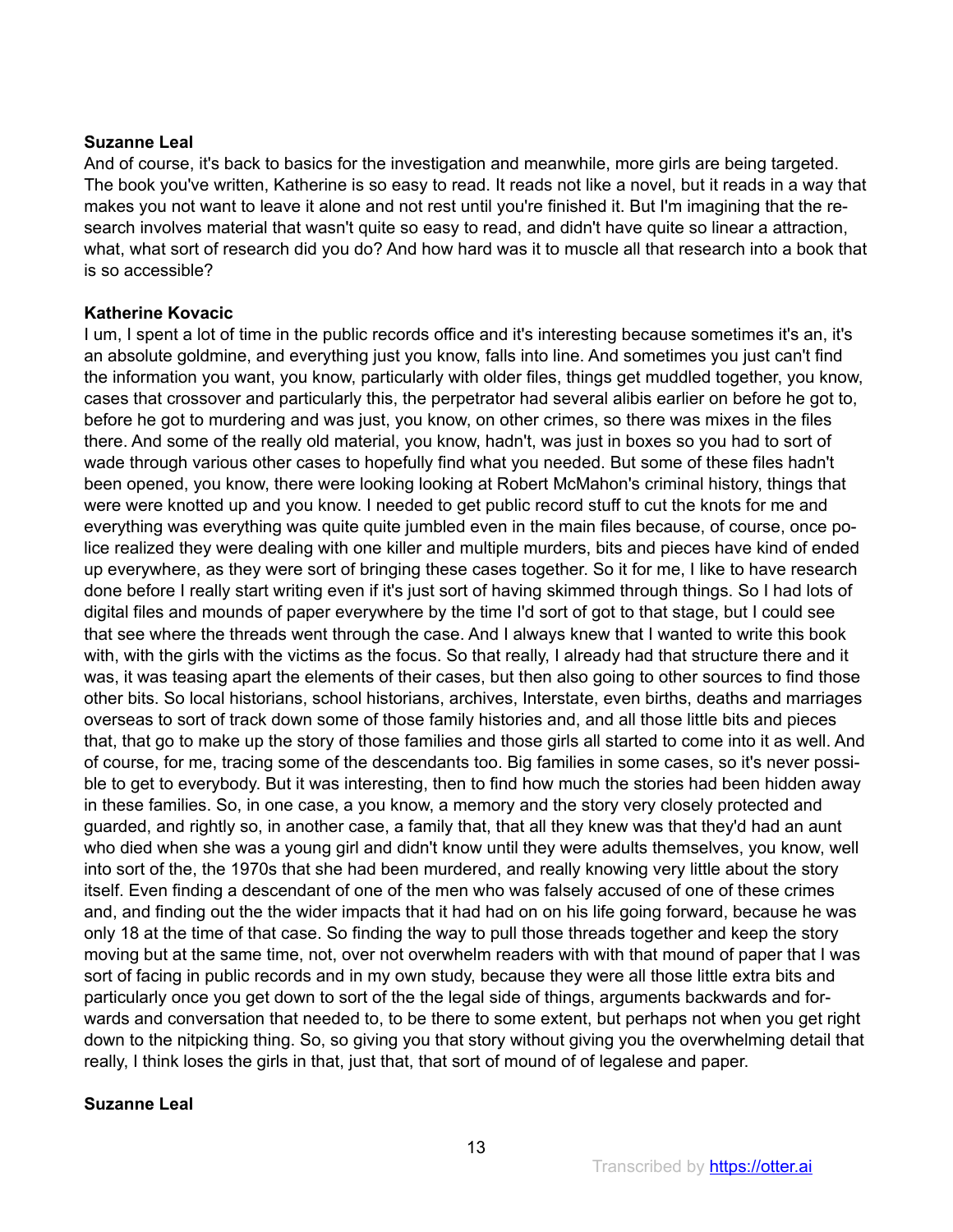And of course, it's back to basics for the investigation and meanwhile, more girls are being targeted. The book you've written, Katherine is so easy to read. It reads not like a novel, but it reads in a way that makes you not want to leave it alone and not rest until you're finished it. But I'm imagining that the research involves material that wasn't quite so easy to read, and didn't have quite so linear a attraction, what, what sort of research did you do? And how hard was it to muscle all that research into a book that is so accessible?

# **Katherine Kovacic**

I um, I spent a lot of time in the public records office and it's interesting because sometimes it's an, it's an absolute goldmine, and everything just you know, falls into line. And sometimes you just can't find the information you want, you know, particularly with older files, things get muddled together, you know, cases that crossover and particularly this, the perpetrator had several alibis earlier on before he got to, before he got to murdering and was just, you know, on other crimes, so there was mixes in the files there. And some of the really old material, you know, hadn't, was just in boxes so you had to sort of wade through various other cases to hopefully find what you needed. But some of these files hadn't been opened, you know, there were looking looking at Robert McMahon's criminal history, things that were were knotted up and you know. I needed to get public record stuff to cut the knots for me and everything was everything was quite quite jumbled even in the main files because, of course, once police realized they were dealing with one killer and multiple murders, bits and pieces have kind of ended up everywhere, as they were sort of bringing these cases together. So it for me, I like to have research done before I really start writing even if it's just sort of having skimmed through things. So I had lots of digital files and mounds of paper everywhere by the time I'd sort of got to that stage, but I could see that see where the threads went through the case. And I always knew that I wanted to write this book with, with the girls with the victims as the focus. So that really, I already had that structure there and it was, it was teasing apart the elements of their cases, but then also going to other sources to find those other bits. So local historians, school historians, archives, Interstate, even births, deaths and marriages overseas to sort of track down some of those family histories and, and all those little bits and pieces that, that go to make up the story of those families and those girls all started to come into it as well. And of course, for me, tracing some of the descendants too. Big families in some cases, so it's never possible to get to everybody. But it was interesting, then to find how much the stories had been hidden away in these families. So, in one case, a you know, a memory and the story very closely protected and guarded, and rightly so, in another case, a family that, that all they knew was that they'd had an aunt who died when she was a young girl and didn't know until they were adults themselves, you know, well into sort of the, the 1970s that she had been murdered, and really knowing very little about the story itself. Even finding a descendant of one of the men who was falsely accused of one of these crimes and, and finding out the the wider impacts that it had had on on his life going forward, because he was only 18 at the time of that case. So finding the way to pull those threads together and keep the story moving but at the same time, not, over not overwhelm readers with with that mound of paper that I was sort of facing in public records and in my own study, because they were all those little extra bits and particularly once you get down to sort of the the legal side of things, arguments backwards and forwards and conversation that needed to, to be there to some extent, but perhaps not when you get right down to the nitpicking thing. So, so giving you that story without giving you the overwhelming detail that really, I think loses the girls in that, just that, that sort of mound of of legalese and paper.

# **Suzanne Leal**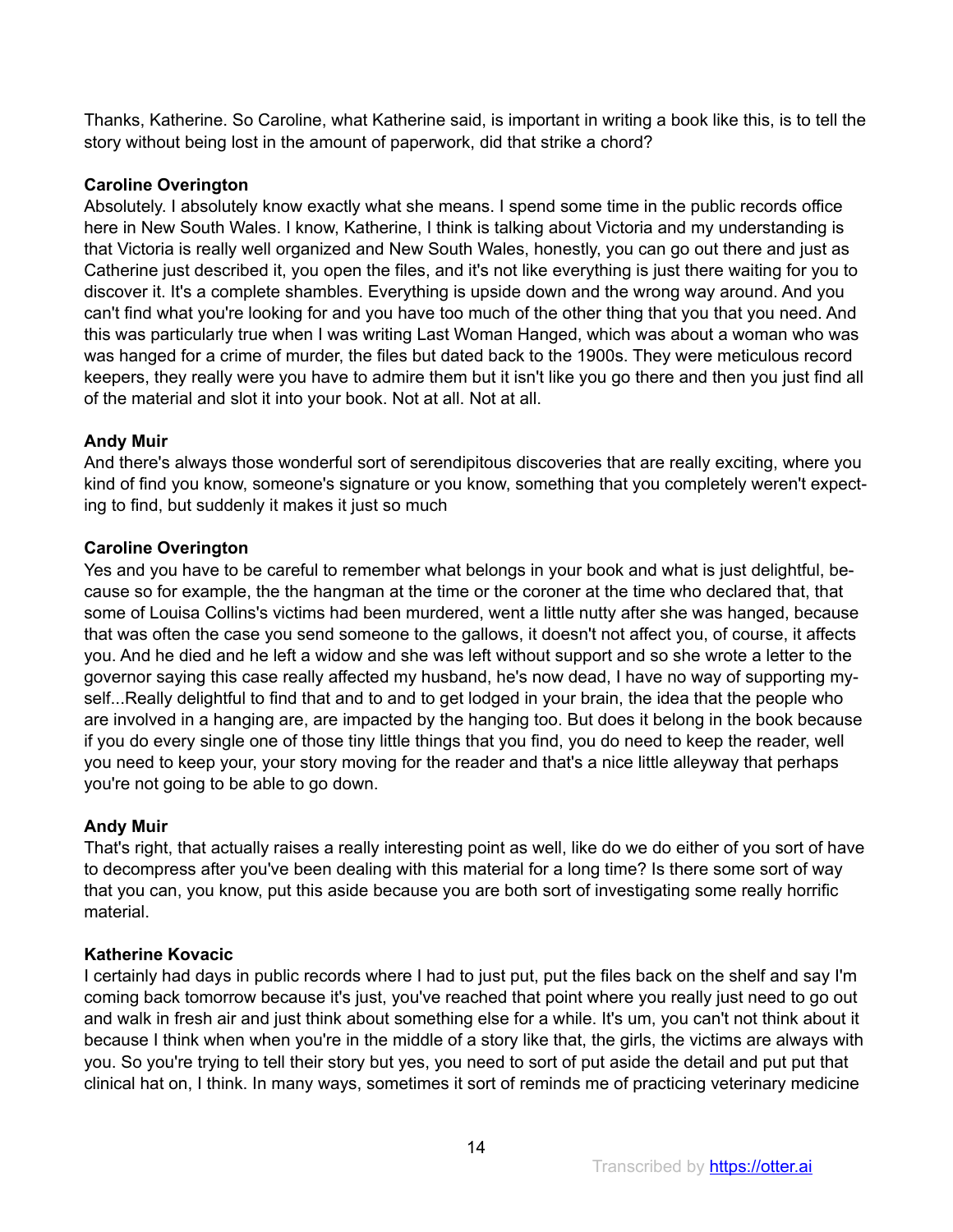Thanks, Katherine. So Caroline, what Katherine said, is important in writing a book like this, is to tell the story without being lost in the amount of paperwork, did that strike a chord?

# **Caroline Overington**

Absolutely. I absolutely know exactly what she means. I spend some time in the public records office here in New South Wales. I know, Katherine, I think is talking about Victoria and my understanding is that Victoria is really well organized and New South Wales, honestly, you can go out there and just as Catherine just described it, you open the files, and it's not like everything is just there waiting for you to discover it. It's a complete shambles. Everything is upside down and the wrong way around. And you can't find what you're looking for and you have too much of the other thing that you that you need. And this was particularly true when I was writing Last Woman Hanged, which was about a woman who was was hanged for a crime of murder, the files but dated back to the 1900s. They were meticulous record keepers, they really were you have to admire them but it isn't like you go there and then you just find all of the material and slot it into your book. Not at all. Not at all.

# **Andy Muir**

And there's always those wonderful sort of serendipitous discoveries that are really exciting, where you kind of find you know, someone's signature or you know, something that you completely weren't expecting to find, but suddenly it makes it just so much

# **Caroline Overington**

Yes and you have to be careful to remember what belongs in your book and what is just delightful, because so for example, the the hangman at the time or the coroner at the time who declared that, that some of Louisa Collins's victims had been murdered, went a little nutty after she was hanged, because that was often the case you send someone to the gallows, it doesn't not affect you, of course, it affects you. And he died and he left a widow and she was left without support and so she wrote a letter to the governor saying this case really affected my husband, he's now dead, I have no way of supporting myself...Really delightful to find that and to and to get lodged in your brain, the idea that the people who are involved in a hanging are, are impacted by the hanging too. But does it belong in the book because if you do every single one of those tiny little things that you find, you do need to keep the reader, well you need to keep your, your story moving for the reader and that's a nice little alleyway that perhaps you're not going to be able to go down.

# **Andy Muir**

That's right, that actually raises a really interesting point as well, like do we do either of you sort of have to decompress after you've been dealing with this material for a long time? Is there some sort of way that you can, you know, put this aside because you are both sort of investigating some really horrific material.

# **Katherine Kovacic**

I certainly had days in public records where I had to just put, put the files back on the shelf and say I'm coming back tomorrow because it's just, you've reached that point where you really just need to go out and walk in fresh air and just think about something else for a while. It's um, you can't not think about it because I think when when you're in the middle of a story like that, the girls, the victims are always with you. So you're trying to tell their story but yes, you need to sort of put aside the detail and put put that clinical hat on, I think. In many ways, sometimes it sort of reminds me of practicing veterinary medicine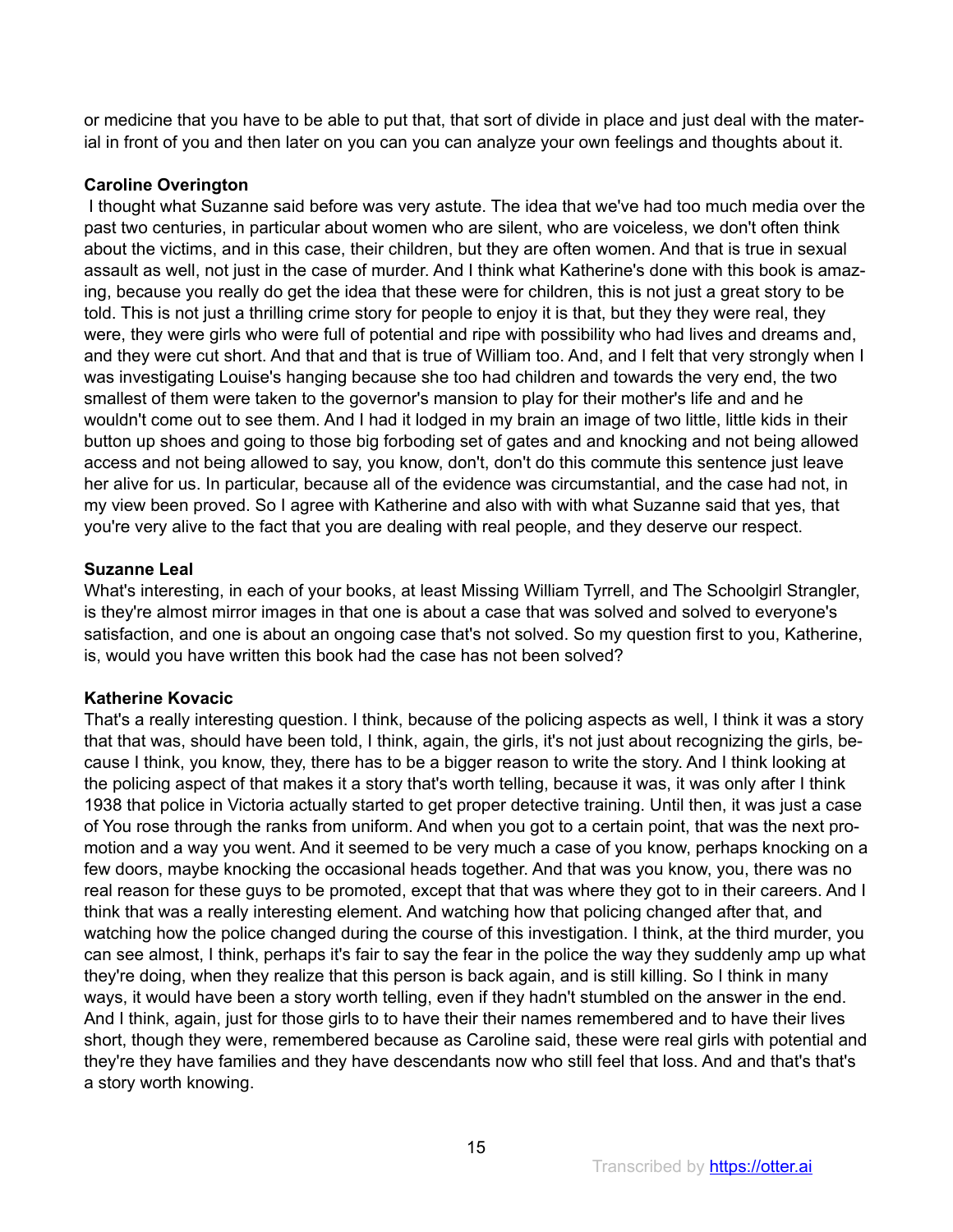or medicine that you have to be able to put that, that sort of divide in place and just deal with the material in front of you and then later on you can you can analyze your own feelings and thoughts about it.

# **Caroline Overington**

 I thought what Suzanne said before was very astute. The idea that we've had too much media over the past two centuries, in particular about women who are silent, who are voiceless, we don't often think about the victims, and in this case, their children, but they are often women. And that is true in sexual assault as well, not just in the case of murder. And I think what Katherine's done with this book is amazing, because you really do get the idea that these were for children, this is not just a great story to be told. This is not just a thrilling crime story for people to enjoy it is that, but they they were real, they were, they were girls who were full of potential and ripe with possibility who had lives and dreams and, and they were cut short. And that and that is true of William too. And, and I felt that very strongly when I was investigating Louise's hanging because she too had children and towards the very end, the two smallest of them were taken to the governor's mansion to play for their mother's life and and he wouldn't come out to see them. And I had it lodged in my brain an image of two little, little kids in their button up shoes and going to those big forboding set of gates and and knocking and not being allowed access and not being allowed to say, you know, don't, don't do this commute this sentence just leave her alive for us. In particular, because all of the evidence was circumstantial, and the case had not, in my view been proved. So I agree with Katherine and also with with what Suzanne said that yes, that you're very alive to the fact that you are dealing with real people, and they deserve our respect.

# **Suzanne Leal**

What's interesting, in each of your books, at least Missing William Tyrrell, and The Schoolgirl Strangler, is they're almost mirror images in that one is about a case that was solved and solved to everyone's satisfaction, and one is about an ongoing case that's not solved. So my question first to you, Katherine, is, would you have written this book had the case has not been solved?

# **Katherine Kovacic**

That's a really interesting question. I think, because of the policing aspects as well, I think it was a story that that was, should have been told, I think, again, the girls, it's not just about recognizing the girls, because I think, you know, they, there has to be a bigger reason to write the story. And I think looking at the policing aspect of that makes it a story that's worth telling, because it was, it was only after I think 1938 that police in Victoria actually started to get proper detective training. Until then, it was just a case of You rose through the ranks from uniform. And when you got to a certain point, that was the next promotion and a way you went. And it seemed to be very much a case of you know, perhaps knocking on a few doors, maybe knocking the occasional heads together. And that was you know, you, there was no real reason for these guys to be promoted, except that that was where they got to in their careers. And I think that was a really interesting element. And watching how that policing changed after that, and watching how the police changed during the course of this investigation. I think, at the third murder, you can see almost, I think, perhaps it's fair to say the fear in the police the way they suddenly amp up what they're doing, when they realize that this person is back again, and is still killing. So I think in many ways, it would have been a story worth telling, even if they hadn't stumbled on the answer in the end. And I think, again, just for those girls to to have their their names remembered and to have their lives short, though they were, remembered because as Caroline said, these were real girls with potential and they're they have families and they have descendants now who still feel that loss. And and that's that's a story worth knowing.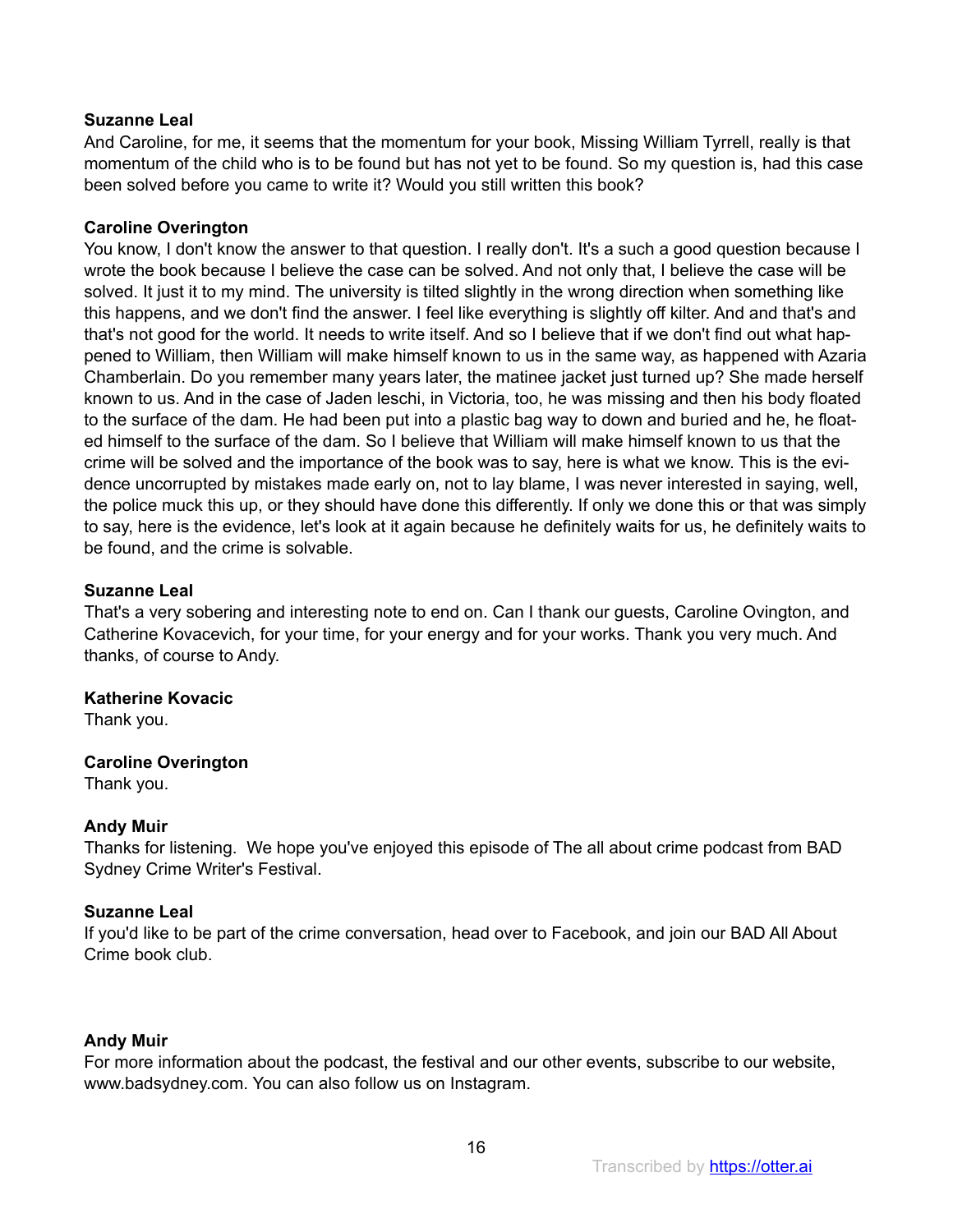And Caroline, for me, it seems that the momentum for your book, Missing William Tyrrell, really is that momentum of the child who is to be found but has not yet to be found. So my question is, had this case been solved before you came to write it? Would you still written this book?

# **Caroline Overington**

You know, I don't know the answer to that question. I really don't. It's a such a good question because I wrote the book because I believe the case can be solved. And not only that, I believe the case will be solved. It just it to my mind. The university is tilted slightly in the wrong direction when something like this happens, and we don't find the answer. I feel like everything is slightly off kilter. And and that's and that's not good for the world. It needs to write itself. And so I believe that if we don't find out what happened to William, then William will make himself known to us in the same way, as happened with Azaria Chamberlain. Do you remember many years later, the matinee jacket just turned up? She made herself known to us. And in the case of Jaden leschi, in Victoria, too, he was missing and then his body floated to the surface of the dam. He had been put into a plastic bag way to down and buried and he, he floated himself to the surface of the dam. So I believe that William will make himself known to us that the crime will be solved and the importance of the book was to say, here is what we know. This is the evidence uncorrupted by mistakes made early on, not to lay blame, I was never interested in saying, well, the police muck this up, or they should have done this differently. If only we done this or that was simply to say, here is the evidence, let's look at it again because he definitely waits for us, he definitely waits to be found, and the crime is solvable.

# **Suzanne Leal**

That's a very sobering and interesting note to end on. Can I thank our guests, Caroline Ovington, and Catherine Kovacevich, for your time, for your energy and for your works. Thank you very much. And thanks, of course to Andy.

# **Katherine Kovacic**

Thank you.

# **Caroline Overington**

Thank you.

# **Andy Muir**

Thanks for listening. We hope you've enjoyed this episode of The all about crime podcast from BAD Sydney Crime Writer's Festival.

# **Suzanne Leal**

If you'd like to be part of the crime conversation, head over to Facebook, and join our BAD All About Crime book club.

# **Andy Muir**

For more information about the podcast, the festival and our other events, subscribe to our website, www.badsydney.com. You can also follow us on Instagram.